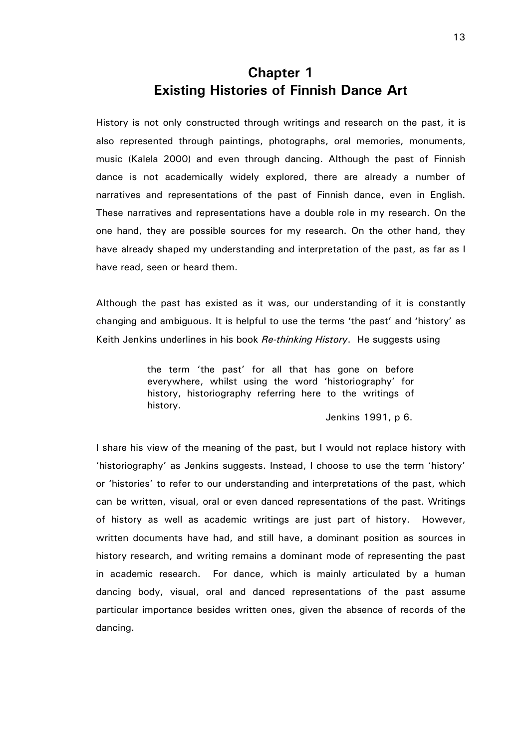# Chapter 1 Existing Histories of Finnish Dance Art

History is not only constructed through writings and research on the past, it is also represented through paintings, photographs, oral memories, monuments, music (Kalela 2000) and even through dancing. Although the past of Finnish dance is not academically widely explored, there are already a number of narratives and representations of the past of Finnish dance, even in English. These narratives and representations have a double role in my research. On the one hand, they are possible sources for my research. On the other hand, they have already shaped my understanding and interpretation of the past, as far as I have read, seen or heard them.

Although the past has existed as it was, our understanding of it is constantly changing and ambiguous. It is helpful to use the terms 'the past' and 'history' as Keith Jenkins underlines in his book Re-thinking History. He suggests using

> the term 'the past' for all that has gone on before everywhere, whilst using the word 'historiography' for history, historiography referring here to the writings of history.

> > Jenkins 1991, p 6.

I share his view of the meaning of the past, but I would not replace history with 'historiography' as Jenkins suggests. Instead, I choose to use the term 'history' or 'histories' to refer to our understanding and interpretations of the past, which can be written, visual, oral or even danced representations of the past. Writings of history as well as academic writings are just part of history. However, written documents have had, and still have, a dominant position as sources in history research, and writing remains a dominant mode of representing the past in academic research. For dance, which is mainly articulated by a human dancing body, visual, oral and danced representations of the past assume particular importance besides written ones, given the absence of records of the dancing.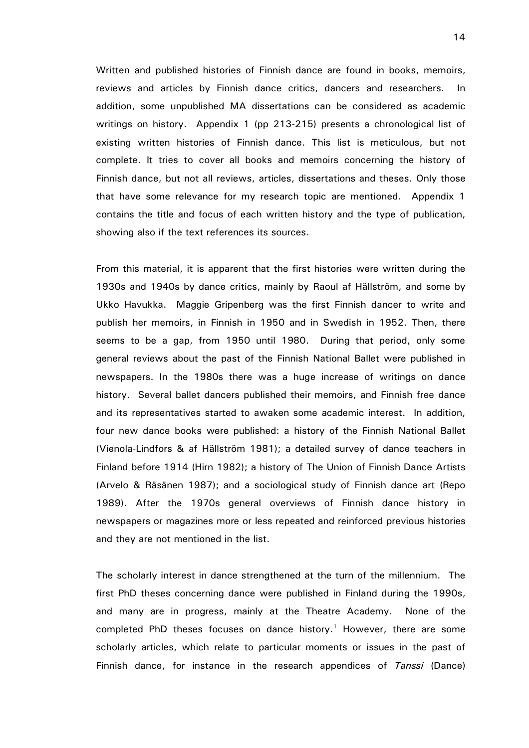Written and published histories of Finnish dance are found in books, memoirs, reviews and articles by Finnish dance critics, dancers and researchers. In addition, some unpublished MA dissertations can be considered as academic writings on history. Appendix 1 (pp 213-215) presents a chronological list of existing written histories of Finnish dance. This list is meticulous, but not complete. It tries to cover all books and memoirs concerning the history of Finnish dance, but not all reviews, articles, dissertations and theses. Only those that have some relevance for my research topic are mentioned. Appendix 1 contains the title and focus of each written history and the type of publication, showing also if the text references its sources.

From this material, it is apparent that the first histories were written during the 1930s and 1940s by dance critics, mainly by Raoul af Hällström, and some by Ukko Havukka. Maggie Gripenberg was the first Finnish dancer to write and publish her memoirs, in Finnish in 1950 and in Swedish in 1952. Then, there seems to be a gap, from 1950 until 1980. During that period, only some general reviews about the past of the Finnish National Ballet were published in newspapers. In the 1980s there was a huge increase of writings on dance history. Several ballet dancers published their memoirs, and Finnish free dance and its representatives started to awaken some academic interest. In addition, four new dance books were published: a history of the Finnish National Ballet (Vienola-Lindfors & af Hällström 1981); a detailed survey of dance teachers in Finland before 1914 (Hirn 1982); a history of The Union of Finnish Dance Artists (Arvelo & Räsänen 1987); and a sociological study of Finnish dance art (Repo 1989). After the 1970s general overviews of Finnish dance history in newspapers or magazines more or less repeated and reinforced previous histories and they are not mentioned in the list.

The scholarly interest in dance strengthened at the turn of the millennium. The first PhD theses concerning dance were published in Finland during the 1990s, and many are in progress, mainly at the Theatre Academy. None of the completed PhD theses focuses on dance history.<sup>1</sup> However, there are some scholarly articles, which relate to particular moments or issues in the past of Finnish dance, for instance in the research appendices of Tanssi (Dance)

14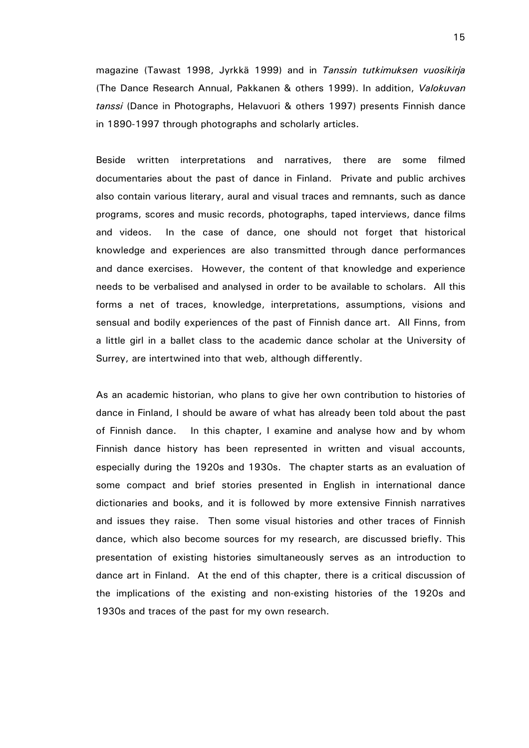magazine (Tawast 1998, Jyrkkä 1999) and in Tanssin tutkimuksen vuosikirja (The Dance Research Annual, Pakkanen & others 1999). In addition, Valokuvan tanssi (Dance in Photographs, Helavuori & others 1997) presents Finnish dance in 1890-1997 through photographs and scholarly articles.

Beside written interpretations and narratives, there are some filmed documentaries about the past of dance in Finland. Private and public archives also contain various literary, aural and visual traces and remnants, such as dance programs, scores and music records, photographs, taped interviews, dance films and videos. In the case of dance, one should not forget that historical knowledge and experiences are also transmitted through dance performances and dance exercises. However, the content of that knowledge and experience needs to be verbalised and analysed in order to be available to scholars. All this forms a net of traces, knowledge, interpretations, assumptions, visions and sensual and bodily experiences of the past of Finnish dance art. All Finns, from a little girl in a ballet class to the academic dance scholar at the University of Surrey, are intertwined into that web, although differently.

As an academic historian, who plans to give her own contribution to histories of dance in Finland, I should be aware of what has already been told about the past of Finnish dance. In this chapter, I examine and analyse how and by whom Finnish dance history has been represented in written and visual accounts, especially during the 1920s and 1930s. The chapter starts as an evaluation of some compact and brief stories presented in English in international dance dictionaries and books, and it is followed by more extensive Finnish narratives and issues they raise. Then some visual histories and other traces of Finnish dance, which also become sources for my research, are discussed briefly. This presentation of existing histories simultaneously serves as an introduction to dance art in Finland. At the end of this chapter, there is a critical discussion of the implications of the existing and non-existing histories of the 1920s and 1930s and traces of the past for my own research.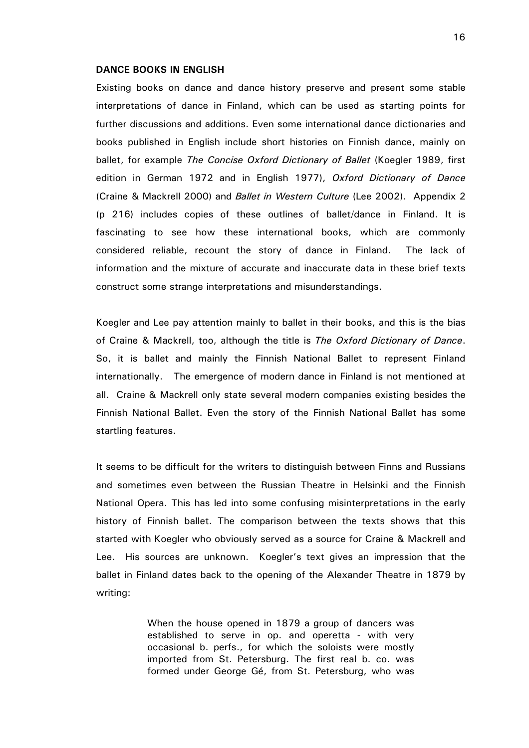#### DANCE BOOKS IN ENGLISH

Existing books on dance and dance history preserve and present some stable interpretations of dance in Finland, which can be used as starting points for further discussions and additions. Even some international dance dictionaries and books published in English include short histories on Finnish dance, mainly on ballet, for example The Concise Oxford Dictionary of Ballet (Koegler 1989, first edition in German 1972 and in English 1977), Oxford Dictionary of Dance (Craine & Mackrell 2000) and Ballet in Western Culture (Lee 2002). Appendix 2 (p 216) includes copies of these outlines of ballet/dance in Finland. It is fascinating to see how these international books, which are commonly considered reliable, recount the story of dance in Finland. The lack of information and the mixture of accurate and inaccurate data in these brief texts construct some strange interpretations and misunderstandings.

Koegler and Lee pay attention mainly to ballet in their books, and this is the bias of Craine & Mackrell, too, although the title is The Oxford Dictionary of Dance. So, it is ballet and mainly the Finnish National Ballet to represent Finland internationally. The emergence of modern dance in Finland is not mentioned at all. Craine & Mackrell only state several modern companies existing besides the Finnish National Ballet. Even the story of the Finnish National Ballet has some startling features.

It seems to be difficult for the writers to distinguish between Finns and Russians and sometimes even between the Russian Theatre in Helsinki and the Finnish National Opera. This has led into some confusing misinterpretations in the early history of Finnish ballet. The comparison between the texts shows that this started with Koegler who obviously served as a source for Craine & Mackrell and Lee. His sources are unknown. Koegler's text gives an impression that the ballet in Finland dates back to the opening of the Alexander Theatre in 1879 by writing:

> When the house opened in 1879 a group of dancers was established to serve in op. and operetta - with very occasional b. perfs., for which the soloists were mostly imported from St. Petersburg. The first real b. co. was formed under George Gé, from St. Petersburg, who was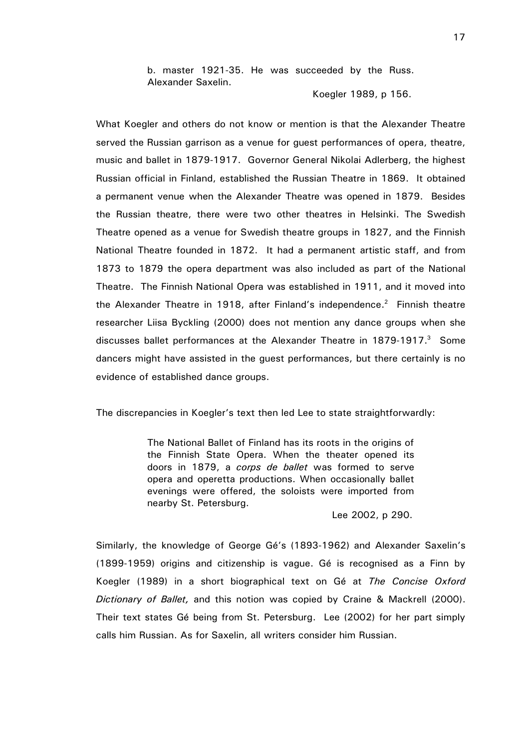b. master 1921-35. He was succeeded by the Russ. Alexander Saxelin.

Koegler 1989, p 156.

What Koegler and others do not know or mention is that the Alexander Theatre served the Russian garrison as a venue for guest performances of opera, theatre, music and ballet in 1879-1917. Governor General Nikolai Adlerberg, the highest Russian official in Finland, established the Russian Theatre in 1869. It obtained a permanent venue when the Alexander Theatre was opened in 1879. Besides the Russian theatre, there were two other theatres in Helsinki. The Swedish Theatre opened as a venue for Swedish theatre groups in 1827, and the Finnish National Theatre founded in 1872. It had a permanent artistic staff, and from 1873 to 1879 the opera department was also included as part of the National Theatre. The Finnish National Opera was established in 1911, and it moved into the Alexander Theatre in 1918, after Finland's independence.<sup>2</sup> Finnish theatre researcher Liisa Byckling (2000) does not mention any dance groups when she discusses ballet performances at the Alexander Theatre in 1879-1917. $3$  Some dancers might have assisted in the guest performances, but there certainly is no evidence of established dance groups.

The discrepancies in Koegler's text then led Lee to state straightforwardly:

The National Ballet of Finland has its roots in the origins of the Finnish State Opera. When the theater opened its doors in 1879, a corps de ballet was formed to serve opera and operetta productions. When occasionally ballet evenings were offered, the soloists were imported from nearby St. Petersburg.

Lee 2002, p 290.

Similarly, the knowledge of George Gé's (1893-1962) and Alexander Saxelin's (1899-1959) origins and citizenship is vague. Gé is recognised as a Finn by Koegler (1989) in a short biographical text on Gé at The Concise Oxford Dictionary of Ballet, and this notion was copied by Craine & Mackrell (2000). Their text states Gé being from St. Petersburg. Lee (2002) for her part simply calls him Russian. As for Saxelin, all writers consider him Russian.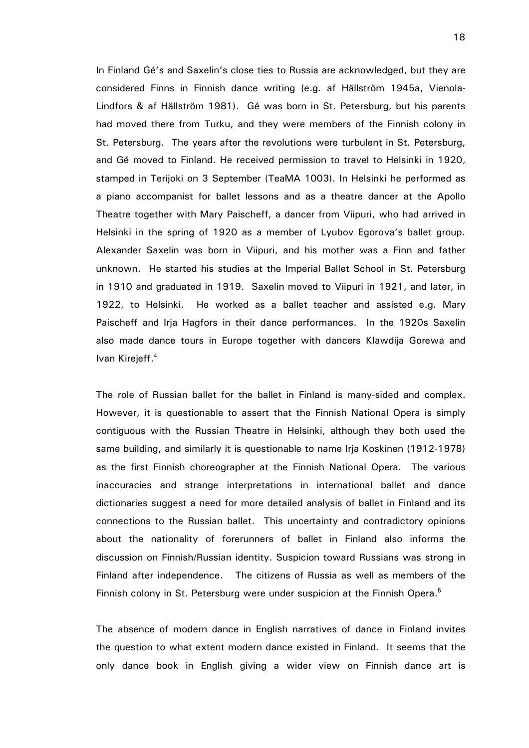In Finland Gé's and Saxelin's close ties to Russia are acknowledged, but they are considered Finns in Finnish dance writing (e.g. af Hällström 1945a, Vienola-Lindfors & af Hällström 1981). Gé was born in St. Petersburg, but his parents had moved there from Turku, and they were members of the Finnish colony in St. Petersburg. The years after the revolutions were turbulent in St. Petersburg, and Gé moved to Finland. He received permission to travel to Helsinki in 1920, stamped in Terijoki on 3 September (TeaMA 1003). In Helsinki he performed as a piano accompanist for ballet lessons and as a theatre dancer at the Apollo Theatre together with Mary Paischeff, a dancer from Viipuri, who had arrived in Helsinki in the spring of 1920 as a member of Lyubov Egorova's ballet group. Alexander Saxelin was born in Viipuri, and his mother was a Finn and father unknown. He started his studies at the Imperial Ballet School in St. Petersburg in 1910 and graduated in 1919. Saxelin moved to Viipuri in 1921, and later, in 1922, to Helsinki. He worked as a ballet teacher and assisted e.g. Mary Paischeff and Irja Hagfors in their dance performances. In the 1920s Saxelin also made dance tours in Europe together with dancers Klawdija Gorewa and Ivan Kirejeff.<sup>4</sup>

The role of Russian ballet for the ballet in Finland is many-sided and complex. However, it is questionable to assert that the Finnish National Opera is simply contiguous with the Russian Theatre in Helsinki, although they both used the same building, and similarly it is questionable to name Irja Koskinen (1912-1978) as the first Finnish choreographer at the Finnish National Opera. The various inaccuracies and strange interpretations in international ballet and dance dictionaries suggest a need for more detailed analysis of ballet in Finland and its connections to the Russian ballet. This uncertainty and contradictory opinions about the nationality of forerunners of ballet in Finland also informs the discussion on Finnish/Russian identity. Suspicion toward Russians was strong in Finland after independence. The citizens of Russia as well as members of the Finnish colony in St. Petersburg were under suspicion at the Finnish Opera.<sup>5</sup>

The absence of modern dance in English narratives of dance in Finland invites the question to what extent modern dance existed in Finland. It seems that the only dance book in English giving a wider view on Finnish dance art is

18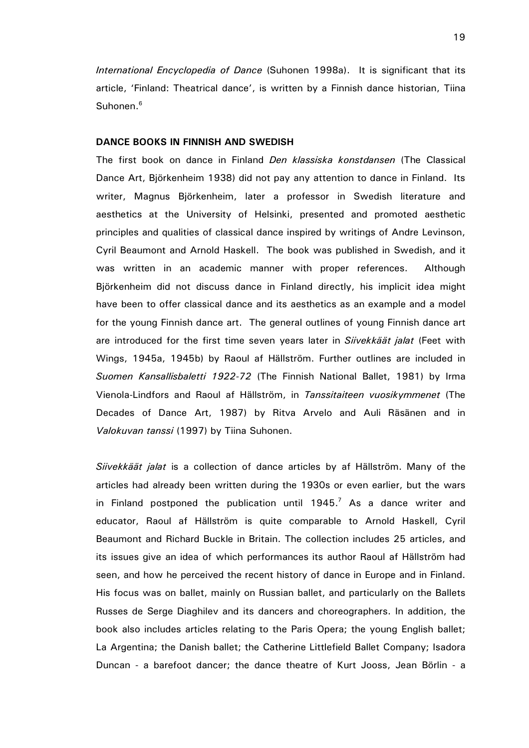International Encyclopedia of Dance (Suhonen 1998a). It is significant that its article, 'Finland: Theatrical dance', is written by a Finnish dance historian, Tiina Suhonen.<sup>6</sup>

### DANCE BOOKS IN FINNISH AND SWEDISH

The first book on dance in Finland Den klassiska konstdansen (The Classical Dance Art, Björkenheim 1938) did not pay any attention to dance in Finland. Its writer, Magnus Björkenheim, later a professor in Swedish literature and aesthetics at the University of Helsinki, presented and promoted aesthetic principles and qualities of classical dance inspired by writings of Andre Levinson, Cyril Beaumont and Arnold Haskell. The book was published in Swedish, and it was written in an academic manner with proper references. Although Björkenheim did not discuss dance in Finland directly, his implicit idea might have been to offer classical dance and its aesthetics as an example and a model for the young Finnish dance art. The general outlines of young Finnish dance art are introduced for the first time seven years later in Siivekkäät jalat (Feet with Wings, 1945a, 1945b) by Raoul af Hällström. Further outlines are included in Suomen Kansallisbaletti 1922-72 (The Finnish National Ballet, 1981) by Irma Vienola-Lindfors and Raoul af Hällström, in Tanssitaiteen vuosikymmenet (The Decades of Dance Art, 1987) by Ritva Arvelo and Auli Räsänen and in Valokuvan tanssi (1997) by Tiina Suhonen.

Siivekkäät jalat is a collection of dance articles by af Hällström. Many of the articles had already been written during the 1930s or even earlier, but the wars in Finland postponed the publication until  $1945.<sup>7</sup>$  As a dance writer and educator, Raoul af Hällström is quite comparable to Arnold Haskell, Cyril Beaumont and Richard Buckle in Britain. The collection includes 25 articles, and its issues give an idea of which performances its author Raoul af Hällström had seen, and how he perceived the recent history of dance in Europe and in Finland. His focus was on ballet, mainly on Russian ballet, and particularly on the Ballets Russes de Serge Diaghilev and its dancers and choreographers. In addition, the book also includes articles relating to the Paris Opera; the young English ballet; La Argentina; the Danish ballet; the Catherine Littlefield Ballet Company; Isadora Duncan - a barefoot dancer; the dance theatre of Kurt Jooss, Jean Börlin - a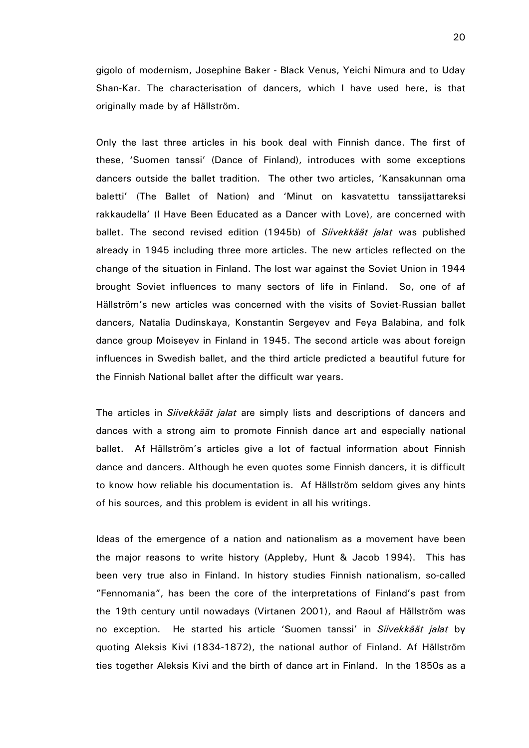gigolo of modernism, Josephine Baker - Black Venus, Yeichi Nimura and to Uday Shan-Kar. The characterisation of dancers, which I have used here, is that originally made by af Hällström.

Only the last three articles in his book deal with Finnish dance. The first of these, 'Suomen tanssi' (Dance of Finland), introduces with some exceptions dancers outside the ballet tradition. The other two articles, 'Kansakunnan oma baletti' (The Ballet of Nation) and 'Minut on kasvatettu tanssijattareksi rakkaudella' (I Have Been Educated as a Dancer with Love), are concerned with ballet. The second revised edition (1945b) of *Siivekkäät jalat* was published already in 1945 including three more articles. The new articles reflected on the change of the situation in Finland. The lost war against the Soviet Union in 1944 brought Soviet influences to many sectors of life in Finland. So, one of af Hällström's new articles was concerned with the visits of Soviet-Russian ballet dancers, Natalia Dudinskaya, Konstantin Sergeyev and Feya Balabina, and folk dance group Moiseyev in Finland in 1945. The second article was about foreign influences in Swedish ballet, and the third article predicted a beautiful future for the Finnish National ballet after the difficult war years.

The articles in *Siivekkäät jalat* are simply lists and descriptions of dancers and dances with a strong aim to promote Finnish dance art and especially national ballet. Af Hällström's articles give a lot of factual information about Finnish dance and dancers. Although he even quotes some Finnish dancers, it is difficult to know how reliable his documentation is. Af Hällström seldom gives any hints of his sources, and this problem is evident in all his writings.

Ideas of the emergence of a nation and nationalism as a movement have been the major reasons to write history (Appleby, Hunt & Jacob 1994). This has been very true also in Finland. In history studies Finnish nationalism, so-called "Fennomania", has been the core of the interpretations of Finland's past from the 19th century until nowadays (Virtanen 2001), and Raoul af Hällström was no exception. He started his article 'Suomen tanssi' in Siivekkäät jalat by quoting Aleksis Kivi (1834-1872), the national author of Finland. Af Hällström ties together Aleksis Kivi and the birth of dance art in Finland. In the 1850s as a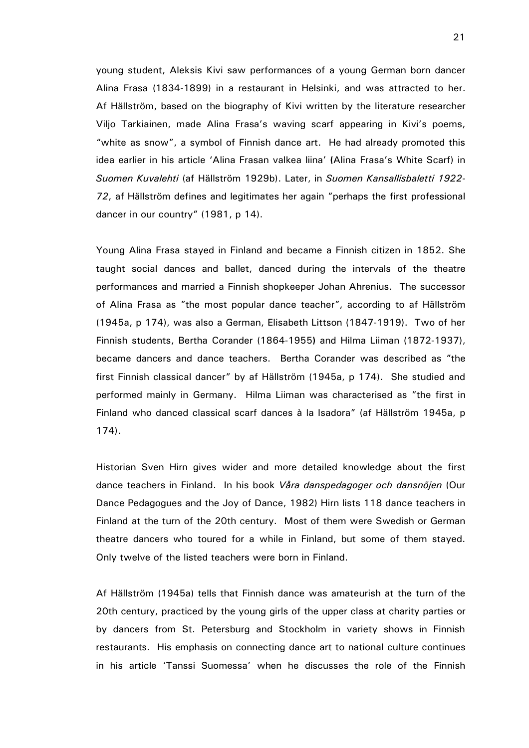young student, Aleksis Kivi saw performances of a young German born dancer Alina Frasa (1834-1899) in a restaurant in Helsinki, and was attracted to her. Af Hällström, based on the biography of Kivi written by the literature researcher Viljo Tarkiainen, made Alina Frasa's waving scarf appearing in Kivi's poems, "white as snow", a symbol of Finnish dance art. He had already promoted this idea earlier in his article 'Alina Frasan valkea liina' (Alina Frasa's White Scarf) in Suomen Kuvalehti (af Hällström 1929b). Later, in Suomen Kansallisbaletti 1922- 72, af Hällström defines and legitimates her again "perhaps the first professional dancer in our country" (1981, p 14).

Young Alina Frasa stayed in Finland and became a Finnish citizen in 1852. She taught social dances and ballet, danced during the intervals of the theatre performances and married a Finnish shopkeeper Johan Ahrenius. The successor of Alina Frasa as "the most popular dance teacher", according to af Hällström (1945a, p 174), was also a German, Elisabeth Littson (1847-1919). Two of her Finnish students, Bertha Corander (1864-1955) and Hilma Liiman (1872-1937), became dancers and dance teachers. Bertha Corander was described as "the first Finnish classical dancer" by af Hällström (1945a, p 174). She studied and performed mainly in Germany. Hilma Liiman was characterised as "the first in Finland who danced classical scarf dances à la Isadora" (af Hällström 1945a, p 174).

Historian Sven Hirn gives wider and more detailed knowledge about the first dance teachers in Finland. In his book Våra danspedagoger och dansnöjen (Our Dance Pedagogues and the Joy of Dance, 1982) Hirn lists 118 dance teachers in Finland at the turn of the 20th century. Most of them were Swedish or German theatre dancers who toured for a while in Finland, but some of them stayed. Only twelve of the listed teachers were born in Finland.

Af Hällström (1945a) tells that Finnish dance was amateurish at the turn of the 20th century, practiced by the young girls of the upper class at charity parties or by dancers from St. Petersburg and Stockholm in variety shows in Finnish restaurants. His emphasis on connecting dance art to national culture continues in his article 'Tanssi Suomessa' when he discusses the role of the Finnish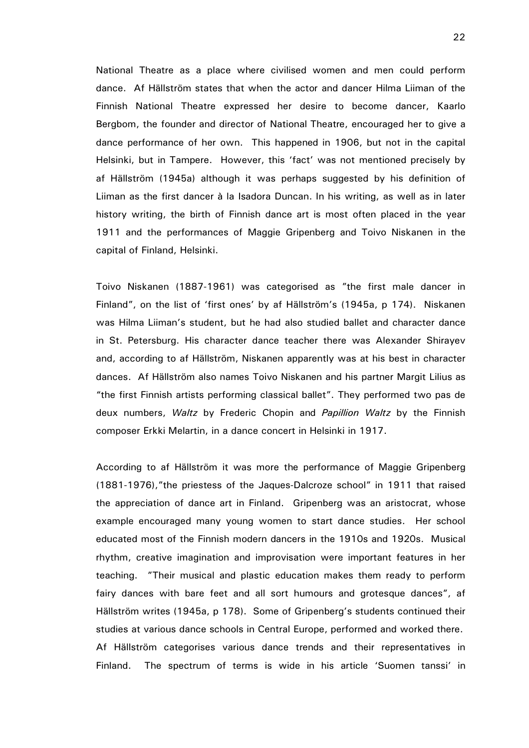National Theatre as a place where civilised women and men could perform dance. Af Hällström states that when the actor and dancer Hilma Liiman of the Finnish National Theatre expressed her desire to become dancer, Kaarlo Bergbom, the founder and director of National Theatre, encouraged her to give a dance performance of her own. This happened in 1906, but not in the capital Helsinki, but in Tampere. However, this 'fact' was not mentioned precisely by af Hällström (1945a) although it was perhaps suggested by his definition of Liiman as the first dancer à la Isadora Duncan. In his writing, as well as in later history writing, the birth of Finnish dance art is most often placed in the year 1911 and the performances of Maggie Gripenberg and Toivo Niskanen in the capital of Finland, Helsinki.

Toivo Niskanen (1887-1961) was categorised as "the first male dancer in Finland", on the list of 'first ones' by af Hällström's (1945a, p 174). Niskanen was Hilma Liiman's student, but he had also studied ballet and character dance in St. Petersburg. His character dance teacher there was Alexander Shirayev and, according to af Hällström, Niskanen apparently was at his best in character dances. Af Hällström also names Toivo Niskanen and his partner Margit Lilius as "the first Finnish artists performing classical ballet". They performed two pas de deux numbers, Waltz by Frederic Chopin and Papillion Waltz by the Finnish composer Erkki Melartin, in a dance concert in Helsinki in 1917.

According to af Hällström it was more the performance of Maggie Gripenberg (1881-1976),"the priestess of the Jaques-Dalcroze school" in 1911 that raised the appreciation of dance art in Finland. Gripenberg was an aristocrat, whose example encouraged many young women to start dance studies. Her school educated most of the Finnish modern dancers in the 1910s and 1920s. Musical rhythm, creative imagination and improvisation were important features in her teaching. "Their musical and plastic education makes them ready to perform fairy dances with bare feet and all sort humours and grotesque dances", af Hällström writes (1945a, p 178). Some of Gripenberg's students continued their studies at various dance schools in Central Europe, performed and worked there. Af Hällström categorises various dance trends and their representatives in Finland. The spectrum of terms is wide in his article 'Suomen tanssi' in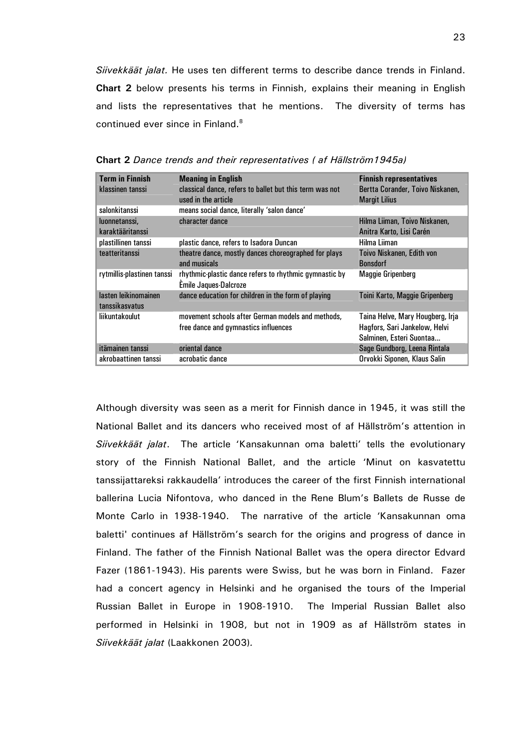Siivekkäät jalat. He uses ten different terms to describe dance trends in Finland. Chart 2 below presents his terms in Finnish, explains their meaning in English and lists the representatives that he mentions. The diversity of terms has continued ever since in Finland.<sup>8</sup>

| <b>Term in Finnish</b>                 | <b>Meaning in English</b>                                                                 | <b>Finnish representatives</b>                                                                |
|----------------------------------------|-------------------------------------------------------------------------------------------|-----------------------------------------------------------------------------------------------|
| klassinen tanssi                       | classical dance, refers to ballet but this term was not<br>used in the article            | Bertta Corander, Toivo Niskanen,<br><b>Margit Lilius</b>                                      |
| salonkitanssi                          | means social dance, literally 'salon dance'                                               |                                                                                               |
| luonnetanssi.<br>karaktääritanssi      | character dance                                                                           | Hilma Liiman, Toivo Niskanen,<br>Anitra Karto, Lisi Carén                                     |
| plastillinen tanssi                    | plastic dance, refers to Isadora Duncan                                                   | Hilma Liiman                                                                                  |
| teatteritanssi                         | theatre dance, mostly dances choreographed for plays<br>and musicals                      | Toivo Niskanen, Edith von<br><b>Bonsdorf</b>                                                  |
| rytmillis-plastinen tanssi             | rhythmic-plastic dance refers to rhythmic gymnastic by<br><b>Émile Jaques-Dalcroze</b>    | <b>Maggie Gripenberg</b>                                                                      |
| lasten leikinomainen<br>tanssikasvatus | dance education for children in the form of playing                                       | Toini Karto, Maggie Gripenberg                                                                |
| liikuntakoulut                         | movement schools after German models and methods.<br>free dance and gymnastics influences | Taina Helve, Mary Hougberg, Irja<br>Hagfors, Sari Jankelow, Helvi<br>Salminen, Esteri Suontaa |
| itämainen tanssi                       | oriental dance                                                                            | Sage Gundborg, Leena Rintala                                                                  |
| akrobaattinen tanssi                   | acrobatic dance                                                                           | Orvokki Siponen, Klaus Salin                                                                  |

Chart 2 Dance trends and their representatives ( af Hällström1945a)

Although diversity was seen as a merit for Finnish dance in 1945, it was still the National Ballet and its dancers who received most of af Hällström's attention in Siivekkäät jalat. The article 'Kansakunnan oma baletti' tells the evolutionary story of the Finnish National Ballet, and the article 'Minut on kasvatettu tanssijattareksi rakkaudella' introduces the career of the first Finnish international ballerina Lucia Nifontova, who danced in the Rene Blum's Ballets de Russe de Monte Carlo in 1938-1940. The narrative of the article 'Kansakunnan oma baletti' continues af Hällström's search for the origins and progress of dance in Finland. The father of the Finnish National Ballet was the opera director Edvard Fazer (1861-1943). His parents were Swiss, but he was born in Finland. Fazer had a concert agency in Helsinki and he organised the tours of the Imperial Russian Ballet in Europe in 1908-1910. The Imperial Russian Ballet also performed in Helsinki in 1908, but not in 1909 as af Hällström states in Siivekkäät jalat (Laakkonen 2003).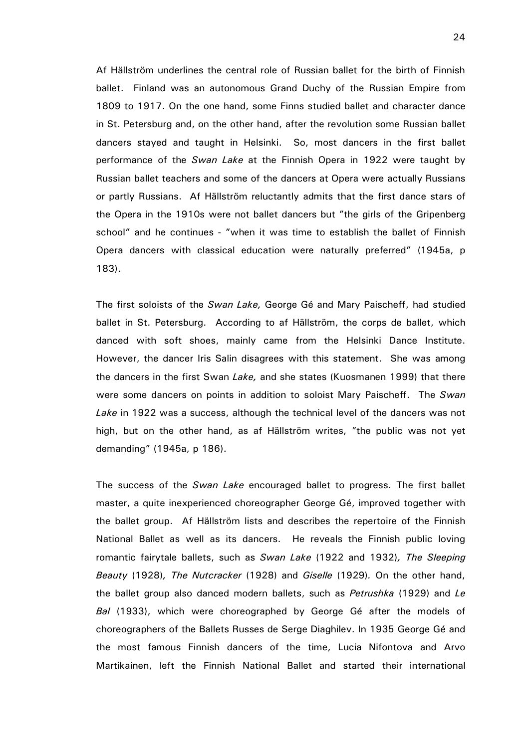Af Hällström underlines the central role of Russian ballet for the birth of Finnish ballet. Finland was an autonomous Grand Duchy of the Russian Empire from 1809 to 1917. On the one hand, some Finns studied ballet and character dance in St. Petersburg and, on the other hand, after the revolution some Russian ballet dancers stayed and taught in Helsinki. So, most dancers in the first ballet performance of the Swan Lake at the Finnish Opera in 1922 were taught by Russian ballet teachers and some of the dancers at Opera were actually Russians or partly Russians. Af Hällström reluctantly admits that the first dance stars of the Opera in the 1910s were not ballet dancers but "the girls of the Gripenberg school" and he continues - "when it was time to establish the ballet of Finnish Opera dancers with classical education were naturally preferred" (1945a, p 183).

The first soloists of the Swan Lake, George Gé and Mary Paischeff, had studied ballet in St. Petersburg. According to af Hällström, the corps de ballet, which danced with soft shoes, mainly came from the Helsinki Dance Institute. However, the dancer Iris Salin disagrees with this statement. She was among the dancers in the first Swan Lake, and she states (Kuosmanen 1999) that there were some dancers on points in addition to soloist Mary Paischeff. The Swan Lake in 1922 was a success, although the technical level of the dancers was not high, but on the other hand, as af Hällström writes, "the public was not yet demanding" (1945a, p 186).

The success of the Swan Lake encouraged ballet to progress. The first ballet master, a quite inexperienced choreographer George Gé, improved together with the ballet group. Af Hällström lists and describes the repertoire of the Finnish National Ballet as well as its dancers. He reveals the Finnish public loving romantic fairytale ballets, such as Swan Lake (1922 and 1932), The Sleeping Beauty (1928), The Nutcracker (1928) and Giselle (1929). On the other hand, the ballet group also danced modern ballets, such as *Petrushka* (1929) and Le Bal (1933), which were choreographed by George Gé after the models of choreographers of the Ballets Russes de Serge Diaghilev. In 1935 George Gé and the most famous Finnish dancers of the time, Lucia Nifontova and Arvo Martikainen, left the Finnish National Ballet and started their international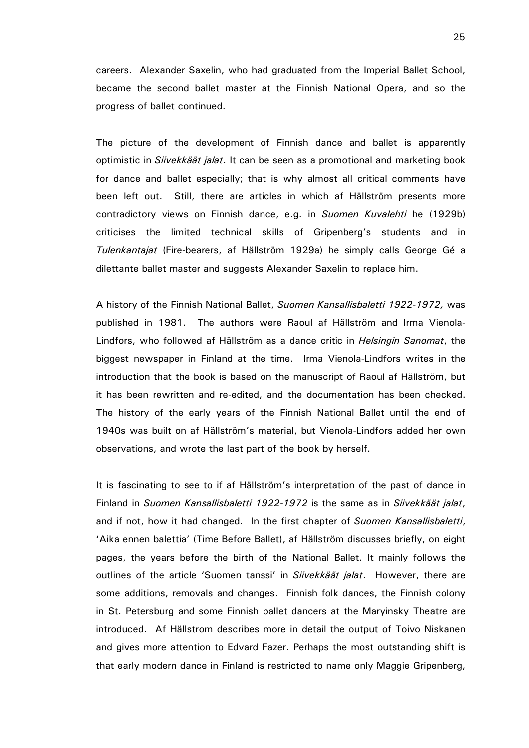careers. Alexander Saxelin, who had graduated from the Imperial Ballet School, became the second ballet master at the Finnish National Opera, and so the progress of ballet continued.

The picture of the development of Finnish dance and ballet is apparently optimistic in *Siivekkäät jalat*. It can be seen as a promotional and marketing book for dance and ballet especially; that is why almost all critical comments have been left out. Still, there are articles in which af Hällström presents more contradictory views on Finnish dance, e.g. in Suomen Kuvalehti he (1929b) criticises the limited technical skills of Gripenberg's students and in Tulenkantajat (Fire-bearers, af Hällström 1929a) he simply calls George Gé a dilettante ballet master and suggests Alexander Saxelin to replace him.

A history of the Finnish National Ballet, Suomen Kansallisbaletti 1922-1972, was published in 1981. The authors were Raoul af Hällström and Irma Vienola-Lindfors, who followed af Hällström as a dance critic in *Helsingin Sanomat*, the biggest newspaper in Finland at the time. Irma Vienola-Lindfors writes in the introduction that the book is based on the manuscript of Raoul af Hällström, but it has been rewritten and re-edited, and the documentation has been checked. The history of the early years of the Finnish National Ballet until the end of 1940s was built on af Hällström's material, but Vienola-Lindfors added her own observations, and wrote the last part of the book by herself.

It is fascinating to see to if af Hällström's interpretation of the past of dance in Finland in Suomen Kansallisbaletti 1922-1972 is the same as in Siivekkäät jalat, and if not, how it had changed. In the first chapter of Suomen Kansallisbaletti, 'Aika ennen balettia' (Time Before Ballet), af Hällström discusses briefly, on eight pages, the years before the birth of the National Ballet. It mainly follows the outlines of the article 'Suomen tanssi' in *Siivekkäät jalat*. However, there are some additions, removals and changes. Finnish folk dances, the Finnish colony in St. Petersburg and some Finnish ballet dancers at the Maryinsky Theatre are introduced. Af Hällstrom describes more in detail the output of Toivo Niskanen and gives more attention to Edvard Fazer. Perhaps the most outstanding shift is that early modern dance in Finland is restricted to name only Maggie Gripenberg,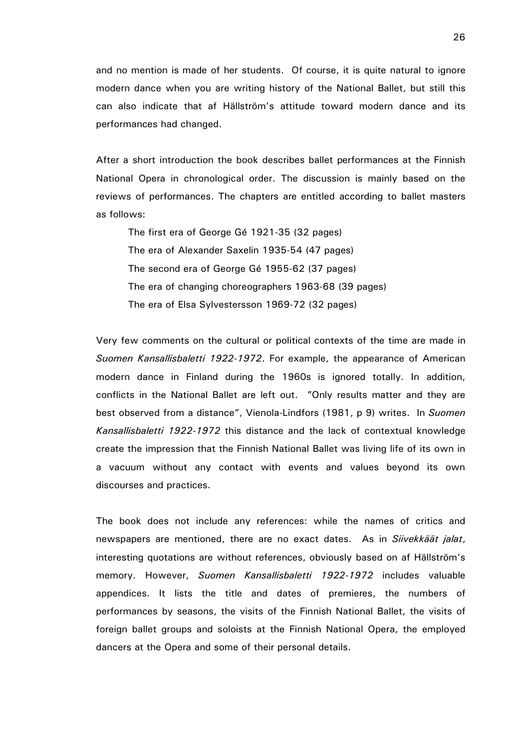and no mention is made of her students. Of course, it is quite natural to ignore modern dance when you are writing history of the National Ballet, but still this can also indicate that af Hällström's attitude toward modern dance and its performances had changed.

After a short introduction the book describes ballet performances at the Finnish National Opera in chronological order. The discussion is mainly based on the reviews of performances. The chapters are entitled according to ballet masters as follows:

The first era of George Gé 1921-35 (32 pages) The era of Alexander Saxelin 1935-54 (47 pages) The second era of George Gé 1955-62 (37 pages) The era of changing choreographers 1963-68 (39 pages) The era of Elsa Sylvestersson 1969-72 (32 pages)

Very few comments on the cultural or political contexts of the time are made in Suomen Kansallisbaletti 1922-1972. For example, the appearance of American modern dance in Finland during the 1960s is ignored totally. In addition, conflicts in the National Ballet are left out. "Only results matter and they are best observed from a distance", Vienola-Lindfors (1981, p 9) writes. In Suomen Kansallisbaletti 1922-1972 this distance and the lack of contextual knowledge create the impression that the Finnish National Ballet was living life of its own in a vacuum without any contact with events and values beyond its own discourses and practices.

The book does not include any references: while the names of critics and newspapers are mentioned, there are no exact dates. As in Siivekkäät jalat, interesting quotations are without references, obviously based on af Hällström's memory. However, Suomen Kansallisbaletti 1922-1972 includes valuable appendices. It lists the title and dates of premieres, the numbers of performances by seasons, the visits of the Finnish National Ballet, the visits of foreign ballet groups and soloists at the Finnish National Opera, the employed dancers at the Opera and some of their personal details.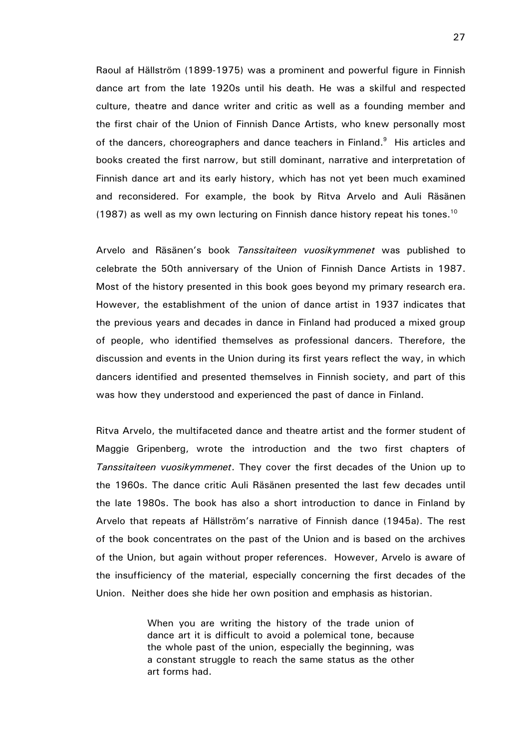Raoul af Hällström (1899-1975) was a prominent and powerful figure in Finnish dance art from the late 1920s until his death. He was a skilful and respected culture, theatre and dance writer and critic as well as a founding member and the first chair of the Union of Finnish Dance Artists, who knew personally most of the dancers, choreographers and dance teachers in Finland.<sup>9</sup> His articles and books created the first narrow, but still dominant, narrative and interpretation of Finnish dance art and its early history, which has not yet been much examined and reconsidered. For example, the book by Ritva Arvelo and Auli Räsänen (1987) as well as my own lecturing on Finnish dance history repeat his tones.<sup>10</sup>

Arvelo and Räsänen's book Tanssitaiteen vuosikymmenet was published to celebrate the 50th anniversary of the Union of Finnish Dance Artists in 1987. Most of the history presented in this book goes beyond my primary research era. However, the establishment of the union of dance artist in 1937 indicates that the previous years and decades in dance in Finland had produced a mixed group of people, who identified themselves as professional dancers. Therefore, the discussion and events in the Union during its first years reflect the way, in which dancers identified and presented themselves in Finnish society, and part of this was how they understood and experienced the past of dance in Finland.

Ritva Arvelo, the multifaceted dance and theatre artist and the former student of Maggie Gripenberg, wrote the introduction and the two first chapters of Tanssitaiteen vuosikymmenet. They cover the first decades of the Union up to the 1960s. The dance critic Auli Räsänen presented the last few decades until the late 1980s. The book has also a short introduction to dance in Finland by Arvelo that repeats af Hällström's narrative of Finnish dance (1945a). The rest of the book concentrates on the past of the Union and is based on the archives of the Union, but again without proper references. However, Arvelo is aware of the insufficiency of the material, especially concerning the first decades of the Union. Neither does she hide her own position and emphasis as historian.

> When you are writing the history of the trade union of dance art it is difficult to avoid a polemical tone, because the whole past of the union, especially the beginning, was a constant struggle to reach the same status as the other art forms had.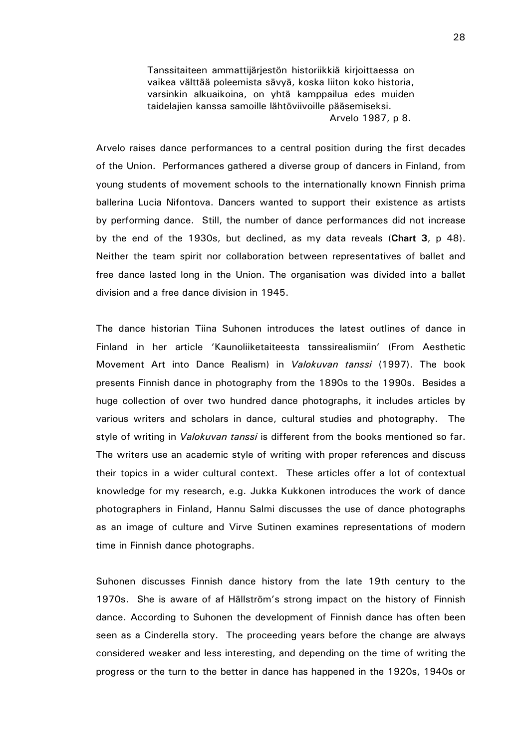Tanssitaiteen ammattijärjestön historiikkiä kirjoittaessa on vaikea välttää poleemista sävyä, koska liiton koko historia, varsinkin alkuaikoina, on yhtä kamppailua edes muiden taidelajien kanssa samoille lähtöviivoille pääsemiseksi. Arvelo 1987, p 8.

Arvelo raises dance performances to a central position during the first decades of the Union. Performances gathered a diverse group of dancers in Finland, from young students of movement schools to the internationally known Finnish prima ballerina Lucia Nifontova. Dancers wanted to support their existence as artists by performing dance. Still, the number of dance performances did not increase by the end of the 1930s, but declined, as my data reveals (Chart 3, p 48). Neither the team spirit nor collaboration between representatives of ballet and free dance lasted long in the Union. The organisation was divided into a ballet division and a free dance division in 1945.

The dance historian Tiina Suhonen introduces the latest outlines of dance in Finland in her article 'Kaunoliiketaiteesta tanssirealismiin' (From Aesthetic Movement Art into Dance Realism) in Valokuvan tanssi (1997). The book presents Finnish dance in photography from the 1890s to the 1990s. Besides a huge collection of over two hundred dance photographs, it includes articles by various writers and scholars in dance, cultural studies and photography. The style of writing in *Valokuvan tanssi* is different from the books mentioned so far. The writers use an academic style of writing with proper references and discuss their topics in a wider cultural context. These articles offer a lot of contextual knowledge for my research, e.g. Jukka Kukkonen introduces the work of dance photographers in Finland, Hannu Salmi discusses the use of dance photographs as an image of culture and Virve Sutinen examines representations of modern time in Finnish dance photographs.

Suhonen discusses Finnish dance history from the late 19th century to the 1970s. She is aware of af Hällström's strong impact on the history of Finnish dance. According to Suhonen the development of Finnish dance has often been seen as a Cinderella story. The proceeding years before the change are always considered weaker and less interesting, and depending on the time of writing the progress or the turn to the better in dance has happened in the 1920s, 1940s or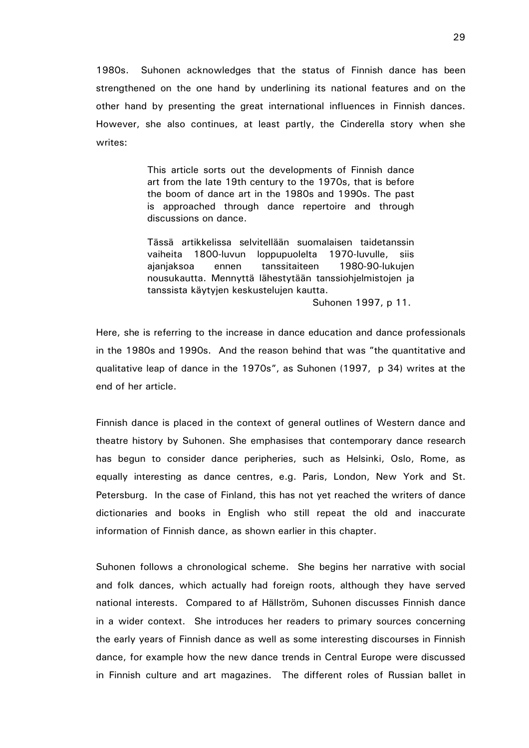1980s. Suhonen acknowledges that the status of Finnish dance has been strengthened on the one hand by underlining its national features and on the other hand by presenting the great international influences in Finnish dances. However, she also continues, at least partly, the Cinderella story when she writes:

> This article sorts out the developments of Finnish dance art from the late 19th century to the 1970s, that is before the boom of dance art in the 1980s and 1990s. The past is approached through dance repertoire and through discussions on dance.

> Tässä artikkelissa selvitellään suomalaisen taidetanssin vaiheita 1800-luvun loppupuolelta 1970-luvulle, siis ajanjaksoa ennen tanssitaiteen 1980-90-lukujen nousukautta. Mennyttä lähestytään tanssiohjelmistojen ja tanssista käytyjen keskustelujen kautta.

> > Suhonen 1997, p 11.

Here, she is referring to the increase in dance education and dance professionals in the 1980s and 1990s. And the reason behind that was "the quantitative and qualitative leap of dance in the 1970s", as Suhonen (1997, p 34) writes at the end of her article.

Finnish dance is placed in the context of general outlines of Western dance and theatre history by Suhonen. She emphasises that contemporary dance research has begun to consider dance peripheries, such as Helsinki, Oslo, Rome, as equally interesting as dance centres, e.g. Paris, London, New York and St. Petersburg. In the case of Finland, this has not yet reached the writers of dance dictionaries and books in English who still repeat the old and inaccurate information of Finnish dance, as shown earlier in this chapter.

Suhonen follows a chronological scheme. She begins her narrative with social and folk dances, which actually had foreign roots, although they have served national interests. Compared to af Hällström, Suhonen discusses Finnish dance in a wider context. She introduces her readers to primary sources concerning the early years of Finnish dance as well as some interesting discourses in Finnish dance, for example how the new dance trends in Central Europe were discussed in Finnish culture and art magazines. The different roles of Russian ballet in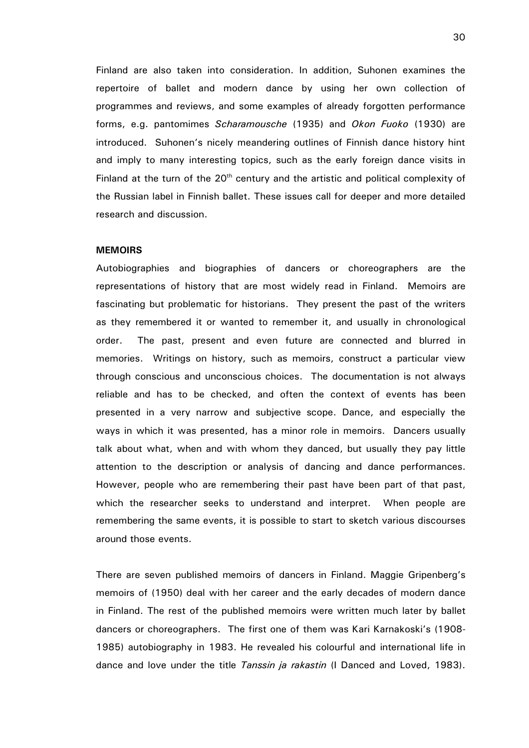Finland are also taken into consideration. In addition, Suhonen examines the repertoire of ballet and modern dance by using her own collection of programmes and reviews, and some examples of already forgotten performance forms, e.g. pantomimes Scharamousche (1935) and Okon Fuoko (1930) are introduced. Suhonen's nicely meandering outlines of Finnish dance history hint and imply to many interesting topics, such as the early foreign dance visits in Finland at the turn of the  $20<sup>th</sup>$  century and the artistic and political complexity of the Russian label in Finnish ballet. These issues call for deeper and more detailed research and discussion.

## **MEMOIRS**

Autobiographies and biographies of dancers or choreographers are the representations of history that are most widely read in Finland. Memoirs are fascinating but problematic for historians. They present the past of the writers as they remembered it or wanted to remember it, and usually in chronological order. The past, present and even future are connected and blurred in memories. Writings on history, such as memoirs, construct a particular view through conscious and unconscious choices. The documentation is not always reliable and has to be checked, and often the context of events has been presented in a very narrow and subjective scope. Dance, and especially the ways in which it was presented, has a minor role in memoirs. Dancers usually talk about what, when and with whom they danced, but usually they pay little attention to the description or analysis of dancing and dance performances. However, people who are remembering their past have been part of that past, which the researcher seeks to understand and interpret. When people are remembering the same events, it is possible to start to sketch various discourses around those events.

There are seven published memoirs of dancers in Finland. Maggie Gripenberg's memoirs of (1950) deal with her career and the early decades of modern dance in Finland. The rest of the published memoirs were written much later by ballet dancers or choreographers. The first one of them was Kari Karnakoski's (1908- 1985) autobiography in 1983. He revealed his colourful and international life in dance and love under the title Tanssin ja rakastin (I Danced and Loved, 1983).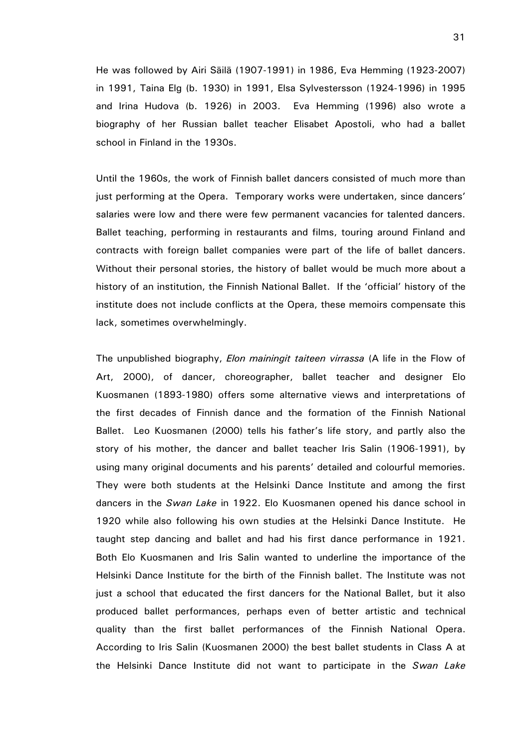He was followed by Airi Säilä (1907-1991) in 1986, Eva Hemming (1923-2007) in 1991, Taina Elg (b. 1930) in 1991, Elsa Sylvestersson (1924-1996) in 1995 and Irina Hudova (b. 1926) in 2003. Eva Hemming (1996) also wrote a biography of her Russian ballet teacher Elisabet Apostoli, who had a ballet school in Finland in the 1930s.

Until the 1960s, the work of Finnish ballet dancers consisted of much more than just performing at the Opera. Temporary works were undertaken, since dancers' salaries were low and there were few permanent vacancies for talented dancers. Ballet teaching, performing in restaurants and films, touring around Finland and contracts with foreign ballet companies were part of the life of ballet dancers. Without their personal stories, the history of ballet would be much more about a history of an institution, the Finnish National Ballet. If the 'official' history of the institute does not include conflicts at the Opera, these memoirs compensate this lack, sometimes overwhelmingly.

The unpublished biography, *Elon mainingit taiteen virrassa* (A life in the Flow of Art, 2000), of dancer, choreographer, ballet teacher and designer Elo Kuosmanen (1893-1980) offers some alternative views and interpretations of the first decades of Finnish dance and the formation of the Finnish National Ballet. Leo Kuosmanen (2000) tells his father's life story, and partly also the story of his mother, the dancer and ballet teacher Iris Salin (1906-1991), by using many original documents and his parents' detailed and colourful memories. They were both students at the Helsinki Dance Institute and among the first dancers in the Swan Lake in 1922. Elo Kuosmanen opened his dance school in 1920 while also following his own studies at the Helsinki Dance Institute. He taught step dancing and ballet and had his first dance performance in 1921. Both Elo Kuosmanen and Iris Salin wanted to underline the importance of the Helsinki Dance Institute for the birth of the Finnish ballet. The Institute was not just a school that educated the first dancers for the National Ballet, but it also produced ballet performances, perhaps even of better artistic and technical quality than the first ballet performances of the Finnish National Opera. According to Iris Salin (Kuosmanen 2000) the best ballet students in Class A at the Helsinki Dance Institute did not want to participate in the Swan Lake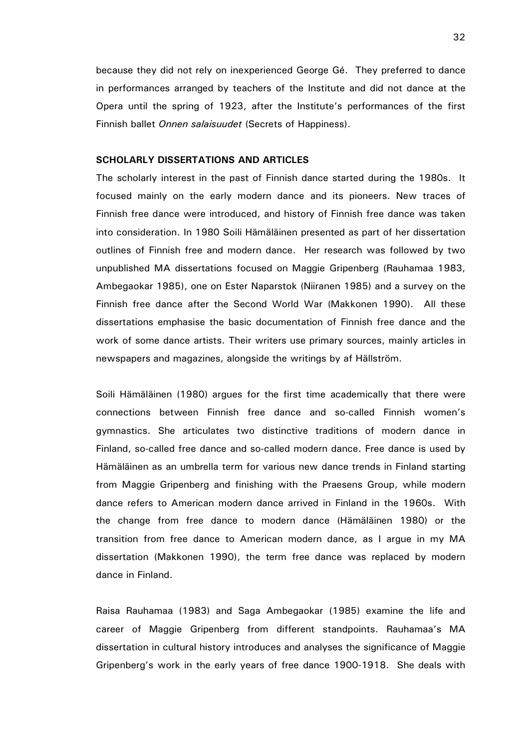because they did not rely on inexperienced George Gé. They preferred to dance in performances arranged by teachers of the Institute and did not dance at the Opera until the spring of 1923, after the Institute's performances of the first Finnish ballet *Onnen salaisuudet* (Secrets of Happiness).

## SCHOLARLY DISSERTATIONS AND ARTICLES

The scholarly interest in the past of Finnish dance started during the 1980s. It focused mainly on the early modern dance and its pioneers. New traces of Finnish free dance were introduced, and history of Finnish free dance was taken into consideration. In 1980 Soili Hämäläinen presented as part of her dissertation outlines of Finnish free and modern dance. Her research was followed by two unpublished MA dissertations focused on Maggie Gripenberg (Rauhamaa 1983, Ambegaokar 1985), one on Ester Naparstok (Niiranen 1985) and a survey on the Finnish free dance after the Second World War (Makkonen 1990). All these dissertations emphasise the basic documentation of Finnish free dance and the work of some dance artists. Their writers use primary sources, mainly articles in newspapers and magazines, alongside the writings by af Hällström.

Soili Hämäläinen (1980) argues for the first time academically that there were connections between Finnish free dance and so-called Finnish women's gymnastics. She articulates two distinctive traditions of modern dance in Finland, so-called free dance and so-called modern dance. Free dance is used by Hämäläinen as an umbrella term for various new dance trends in Finland starting from Maggie Gripenberg and finishing with the Praesens Group, while modern dance refers to American modern dance arrived in Finland in the 1960s. With the change from free dance to modern dance (Hämäläinen 1980) or the transition from free dance to American modern dance, as I argue in my MA dissertation (Makkonen 1990), the term free dance was replaced by modern dance in Finland.

Raisa Rauhamaa (1983) and Saga Ambegaokar (1985) examine the life and career of Maggie Gripenberg from different standpoints. Rauhamaa's MA dissertation in cultural history introduces and analyses the significance of Maggie Gripenberg's work in the early years of free dance 1900-1918. She deals with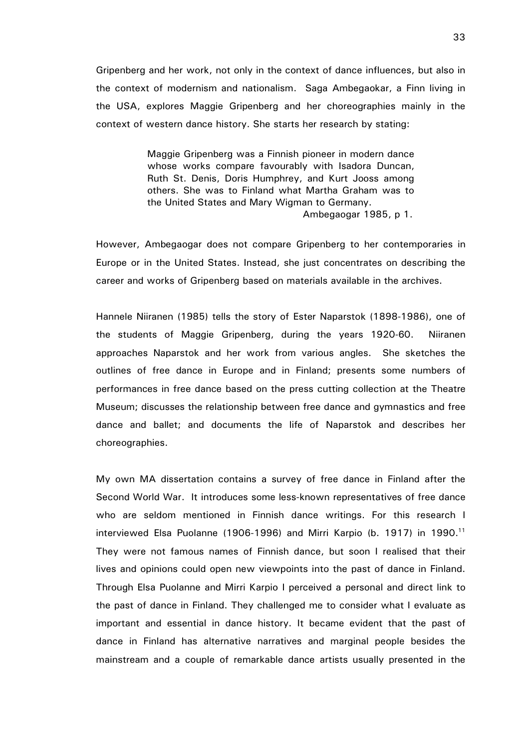Gripenberg and her work, not only in the context of dance influences, but also in the context of modernism and nationalism. Saga Ambegaokar, a Finn living in the USA, explores Maggie Gripenberg and her choreographies mainly in the context of western dance history. She starts her research by stating:

> Maggie Gripenberg was a Finnish pioneer in modern dance whose works compare favourably with Isadora Duncan, Ruth St. Denis, Doris Humphrey, and Kurt Jooss among others. She was to Finland what Martha Graham was to the United States and Mary Wigman to Germany.

Ambegaogar 1985, p 1.

However, Ambegaogar does not compare Gripenberg to her contemporaries in Europe or in the United States. Instead, she just concentrates on describing the career and works of Gripenberg based on materials available in the archives.

Hannele Niiranen (1985) tells the story of Ester Naparstok (1898-1986), one of the students of Maggie Gripenberg, during the years 1920-60. Niiranen approaches Naparstok and her work from various angles. She sketches the outlines of free dance in Europe and in Finland; presents some numbers of performances in free dance based on the press cutting collection at the Theatre Museum; discusses the relationship between free dance and gymnastics and free dance and ballet; and documents the life of Naparstok and describes her choreographies.

My own MA dissertation contains a survey of free dance in Finland after the Second World War. It introduces some less-known representatives of free dance who are seldom mentioned in Finnish dance writings. For this research I interviewed Elsa Puolanne (1906-1996) and Mirri Karpio (b. 1917) in 1990.<sup>11</sup> They were not famous names of Finnish dance, but soon I realised that their lives and opinions could open new viewpoints into the past of dance in Finland. Through Elsa Puolanne and Mirri Karpio I perceived a personal and direct link to the past of dance in Finland. They challenged me to consider what I evaluate as important and essential in dance history. It became evident that the past of dance in Finland has alternative narratives and marginal people besides the mainstream and a couple of remarkable dance artists usually presented in the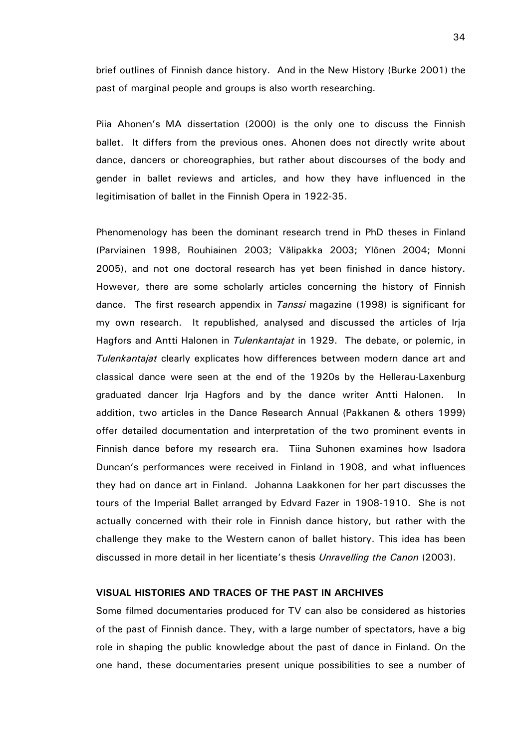brief outlines of Finnish dance history. And in the New History (Burke 2001) the past of marginal people and groups is also worth researching.

Piia Ahonen's MA dissertation (2000) is the only one to discuss the Finnish ballet. It differs from the previous ones. Ahonen does not directly write about dance, dancers or choreographies, but rather about discourses of the body and gender in ballet reviews and articles, and how they have influenced in the legitimisation of ballet in the Finnish Opera in 1922-35.

Phenomenology has been the dominant research trend in PhD theses in Finland (Parviainen 1998, Rouhiainen 2003; Välipakka 2003; Ylönen 2004; Monni 2005), and not one doctoral research has yet been finished in dance history. However, there are some scholarly articles concerning the history of Finnish dance. The first research appendix in *Tanssi* magazine (1998) is significant for my own research. It republished, analysed and discussed the articles of Irja Hagfors and Antti Halonen in *Tulenkantajat* in 1929. The debate, or polemic, in Tulenkantajat clearly explicates how differences between modern dance art and classical dance were seen at the end of the 1920s by the Hellerau-Laxenburg graduated dancer Irja Hagfors and by the dance writer Antti Halonen. In addition, two articles in the Dance Research Annual (Pakkanen & others 1999) offer detailed documentation and interpretation of the two prominent events in Finnish dance before my research era. Tiina Suhonen examines how Isadora Duncan's performances were received in Finland in 1908, and what influences they had on dance art in Finland. Johanna Laakkonen for her part discusses the tours of the Imperial Ballet arranged by Edvard Fazer in 1908-1910. She is not actually concerned with their role in Finnish dance history, but rather with the challenge they make to the Western canon of ballet history. This idea has been discussed in more detail in her licentiate's thesis Unravelling the Canon (2003).

# VISUAL HISTORIES AND TRACES OF THE PAST IN ARCHIVES

Some filmed documentaries produced for TV can also be considered as histories of the past of Finnish dance. They, with a large number of spectators, have a big role in shaping the public knowledge about the past of dance in Finland. On the one hand, these documentaries present unique possibilities to see a number of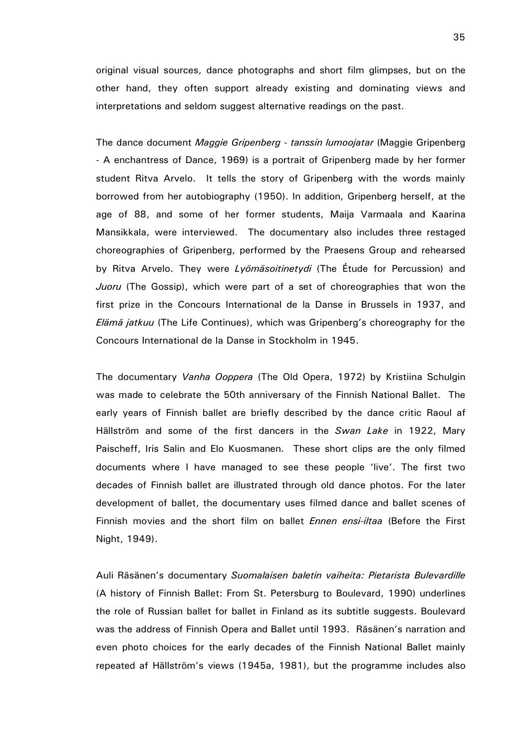original visual sources, dance photographs and short film glimpses, but on the other hand, they often support already existing and dominating views and interpretations and seldom suggest alternative readings on the past.

The dance document Maggie Gripenberg - tanssin lumoojatar (Maggie Gripenberg - A enchantress of Dance, 1969) is a portrait of Gripenberg made by her former student Ritva Arvelo. It tells the story of Gripenberg with the words mainly borrowed from her autobiography (1950). In addition, Gripenberg herself, at the age of 88, and some of her former students, Maija Varmaala and Kaarina Mansikkala, were interviewed. The documentary also includes three restaged choreographies of Gripenberg, performed by the Praesens Group and rehearsed by Ritva Arvelo. They were Lyomäsoitinetydi (The Étude for Percussion) and Juoru (The Gossip), which were part of a set of choreographies that won the first prize in the Concours International de la Danse in Brussels in 1937, and Elämä jatkuu (The Life Continues), which was Gripenberg's choreography for the Concours International de la Danse in Stockholm in 1945.

The documentary Vanha Ooppera (The Old Opera, 1972) by Kristiina Schulgin was made to celebrate the 50th anniversary of the Finnish National Ballet. The early years of Finnish ballet are briefly described by the dance critic Raoul af Hällström and some of the first dancers in the Swan Lake in 1922, Mary Paischeff, Iris Salin and Elo Kuosmanen. These short clips are the only filmed documents where I have managed to see these people 'live'. The first two decades of Finnish ballet are illustrated through old dance photos. For the later development of ballet, the documentary uses filmed dance and ballet scenes of Finnish movies and the short film on ballet Ennen ensi-iltaa (Before the First Night, 1949).

Auli Räsänen's documentary Suomalaisen baletin vaiheita: Pietarista Bulevardille (A history of Finnish Ballet: From St. Petersburg to Boulevard, 1990) underlines the role of Russian ballet for ballet in Finland as its subtitle suggests. Boulevard was the address of Finnish Opera and Ballet until 1993. Räsänen's narration and even photo choices for the early decades of the Finnish National Ballet mainly repeated af Hällström's views (1945a, 1981), but the programme includes also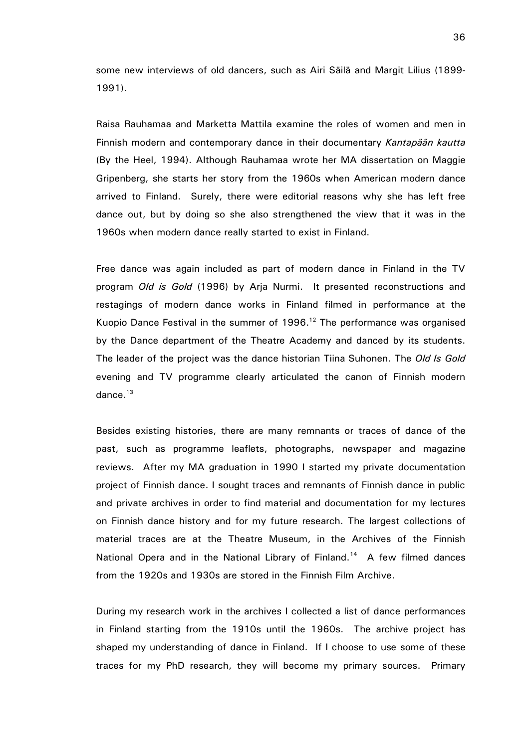some new interviews of old dancers, such as Airi Säilä and Margit Lilius (1899- 1991).

Raisa Rauhamaa and Marketta Mattila examine the roles of women and men in Finnish modern and contemporary dance in their documentary Kantapään kautta (By the Heel, 1994). Although Rauhamaa wrote her MA dissertation on Maggie Gripenberg, she starts her story from the 1960s when American modern dance arrived to Finland. Surely, there were editorial reasons why she has left free dance out, but by doing so she also strengthened the view that it was in the 1960s when modern dance really started to exist in Finland.

Free dance was again included as part of modern dance in Finland in the TV program Old is Gold (1996) by Arja Nurmi. It presented reconstructions and restagings of modern dance works in Finland filmed in performance at the Kuopio Dance Festival in the summer of  $1996$ .<sup>12</sup> The performance was organised by the Dance department of the Theatre Academy and danced by its students. The leader of the project was the dance historian Tiina Suhonen. The Old Is Gold evening and TV programme clearly articulated the canon of Finnish modern dance. $13$ 

Besides existing histories, there are many remnants or traces of dance of the past, such as programme leaflets, photographs, newspaper and magazine reviews. After my MA graduation in 1990 I started my private documentation project of Finnish dance. I sought traces and remnants of Finnish dance in public and private archives in order to find material and documentation for my lectures on Finnish dance history and for my future research. The largest collections of material traces are at the Theatre Museum, in the Archives of the Finnish National Opera and in the National Library of Finland.<sup>14</sup> A few filmed dances from the 1920s and 1930s are stored in the Finnish Film Archive.

During my research work in the archives I collected a list of dance performances in Finland starting from the 1910s until the 1960s. The archive project has shaped my understanding of dance in Finland. If I choose to use some of these traces for my PhD research, they will become my primary sources. Primary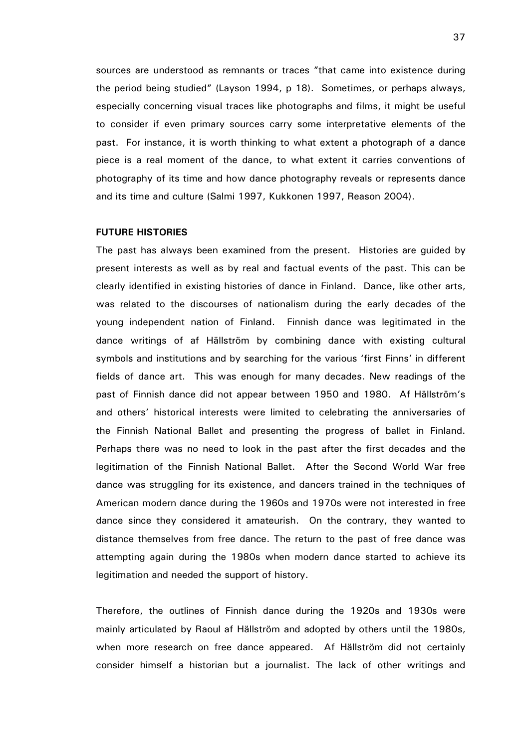sources are understood as remnants or traces "that came into existence during the period being studied" (Layson 1994, p 18). Sometimes, or perhaps always, especially concerning visual traces like photographs and films, it might be useful to consider if even primary sources carry some interpretative elements of the past. For instance, it is worth thinking to what extent a photograph of a dance piece is a real moment of the dance, to what extent it carries conventions of photography of its time and how dance photography reveals or represents dance and its time and culture (Salmi 1997, Kukkonen 1997, Reason 2004).

#### FUTURE HISTORIES

The past has always been examined from the present. Histories are guided by present interests as well as by real and factual events of the past. This can be clearly identified in existing histories of dance in Finland. Dance, like other arts, was related to the discourses of nationalism during the early decades of the young independent nation of Finland. Finnish dance was legitimated in the dance writings of af Hällström by combining dance with existing cultural symbols and institutions and by searching for the various 'first Finns' in different fields of dance art. This was enough for many decades. New readings of the past of Finnish dance did not appear between 1950 and 1980. Af Hällström's and others' historical interests were limited to celebrating the anniversaries of the Finnish National Ballet and presenting the progress of ballet in Finland. Perhaps there was no need to look in the past after the first decades and the legitimation of the Finnish National Ballet. After the Second World War free dance was struggling for its existence, and dancers trained in the techniques of American modern dance during the 1960s and 1970s were not interested in free dance since they considered it amateurish. On the contrary, they wanted to distance themselves from free dance. The return to the past of free dance was attempting again during the 1980s when modern dance started to achieve its legitimation and needed the support of history.

Therefore, the outlines of Finnish dance during the 1920s and 1930s were mainly articulated by Raoul af Hällström and adopted by others until the 1980s, when more research on free dance appeared. Af Hällström did not certainly consider himself a historian but a journalist. The lack of other writings and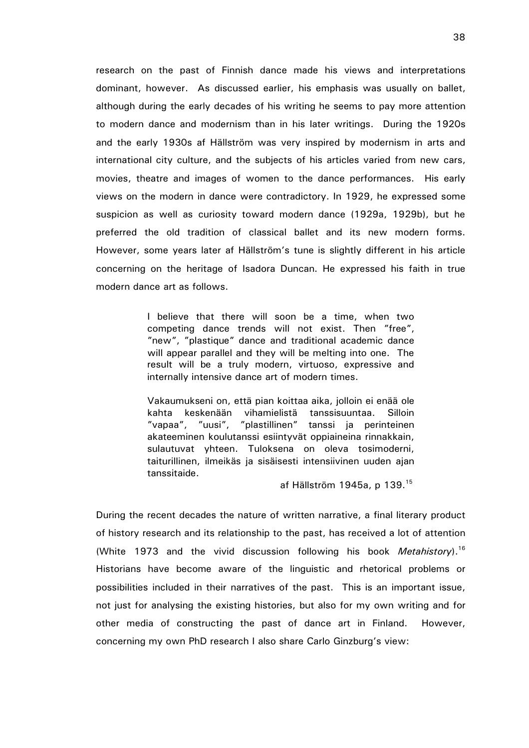research on the past of Finnish dance made his views and interpretations dominant, however. As discussed earlier, his emphasis was usually on ballet, although during the early decades of his writing he seems to pay more attention to modern dance and modernism than in his later writings. During the 1920s and the early 1930s af Hällström was very inspired by modernism in arts and international city culture, and the subjects of his articles varied from new cars, movies, theatre and images of women to the dance performances. His early views on the modern in dance were contradictory. In 1929, he expressed some suspicion as well as curiosity toward modern dance (1929a, 1929b), but he preferred the old tradition of classical ballet and its new modern forms. However, some years later af Hällström's tune is slightly different in his article concerning on the heritage of Isadora Duncan. He expressed his faith in true modern dance art as follows.

> I believe that there will soon be a time, when two competing dance trends will not exist. Then "free", "new", "plastique" dance and traditional academic dance will appear parallel and they will be melting into one. The result will be a truly modern, virtuoso, expressive and internally intensive dance art of modern times.

> Vakaumukseni on, että pian koittaa aika, jolloin ei enää ole kahta keskenään vihamielistä tanssisuuntaa. Silloin "vapaa", "uusi", "plastillinen" tanssi ja perinteinen akateeminen koulutanssi esiintyvät oppiaineina rinnakkain, sulautuvat yhteen. Tuloksena on oleva tosimoderni, taiturillinen, ilmeikäs ja sisäisesti intensiivinen uuden ajan tanssitaide.

> > af Hällström 1945a, p 139.<sup>15</sup>

During the recent decades the nature of written narrative, a final literary product of history research and its relationship to the past, has received a lot of attention (White 1973 and the vivid discussion following his book Metahistory).<sup>16</sup> Historians have become aware of the linguistic and rhetorical problems or possibilities included in their narratives of the past. This is an important issue, not just for analysing the existing histories, but also for my own writing and for other media of constructing the past of dance art in Finland. However, concerning my own PhD research I also share Carlo Ginzburg's view: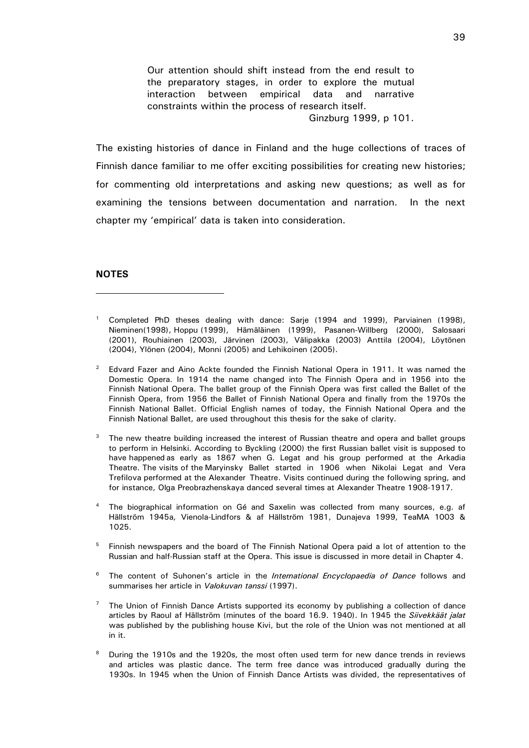Our attention should shift instead from the end result to the preparatory stages, in order to explore the mutual interaction between empirical data and narrative constraints within the process of research itself. Ginzburg 1999, p 101.

The existing histories of dance in Finland and the huge collections of traces of Finnish dance familiar to me offer exciting possibilities for creating new histories; for commenting old interpretations and asking new questions; as well as for examining the tensions between documentation and narration. In the next chapter my 'empirical' data is taken into consideration.

#### **NOTES**

-

- 3 The new theatre building increased the interest of Russian theatre and opera and ballet groups to perform in Helsinki. According to Byckling (2000) the first Russian ballet visit is supposed to have happened as early as 1867 when G. Legat and his group performed at the Arkadia Theatre. The visits of the Maryinsky Ballet started in 1906 when Nikolai Legat and Vera Trefilova performed at the Alexander Theatre. Visits continued during the following spring, and for instance, Olga Preobrazhenskaya danced several times at Alexander Theatre 1908-1917.
- 4 The biographical information on Gé and Saxelin was collected from many sources, e.g. af Hällström 1945a, Vienola-Lindfors & af Hällström 1981, Dunajeva 1999, TeaMA 1003 & 1025.
- 5 Finnish newspapers and the board of The Finnish National Opera paid a lot of attention to the Russian and half-Russian staff at the Opera. This issue is discussed in more detail in Chapter 4.
- 6 The content of Suhonen's article in the International Encyclopaedia of Dance follows and summarises her article in Valokuvan tanssi (1997).
- 7 The Union of Finnish Dance Artists supported its economy by publishing a collection of dance articles by Raoul af Hällström (minutes of the board 16.9. 1940). In 1945 the Siivekkäät jalat was published by the publishing house Kivi, but the role of the Union was not mentioned at all in it.
- 8 During the 1910s and the 1920s, the most often used term for new dance trends in reviews and articles was plastic dance. The term free dance was introduced gradually during the 1930s. In 1945 when the Union of Finnish Dance Artists was divided, the representatives of

<sup>1</sup> Completed PhD theses dealing with dance: Sarje (1994 and 1999), Parviainen (1998), Nieminen(1998), Hoppu (1999), Hämäläinen (1999), Pasanen-Willberg (2000), Salosaari (2001), Rouhiainen (2003), Järvinen (2003), Välipakka (2003) Anttila (2004), Löytönen (2004), Ylönen (2004), Monni (2005) and Lehikoinen (2005).

<sup>2</sup> Edvard Fazer and Aino Ackte founded the Finnish National Opera in 1911. It was named the Domestic Opera. In 1914 the name changed into The Finnish Opera and in 1956 into the Finnish National Opera. The ballet group of the Finnish Opera was first called the Ballet of the Finnish Opera, from 1956 the Ballet of Finnish National Opera and finally from the 1970s the Finnish National Ballet. Official English names of today, the Finnish National Opera and the Finnish National Ballet, are used throughout this thesis for the sake of clarity.